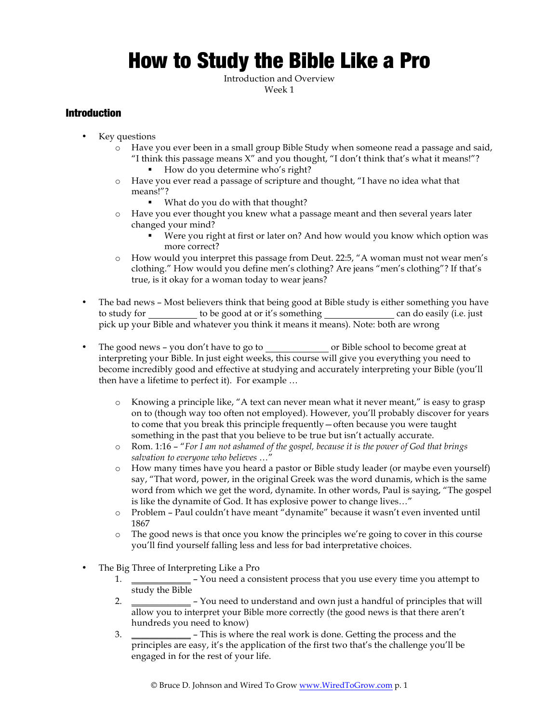# How to Study the Bible Like a Pro

Introduction and Overview Week 1

## Introduction

- Key questions
	- o Have you ever been in a small group Bible Study when someone read a passage and said, "I think this passage means  $X''$  and you thought, "I don't think that's what it means!"? ■ How do you determine who's right?
	- o Have you ever read a passage of scripture and thought, "I have no idea what that means!"?
		- What do you do with that thought?
	- o Have you ever thought you knew what a passage meant and then several years later changed your mind?
		- § Were you right at first or later on? And how would you know which option was more correct?
	- o How would you interpret this passage from Deut. 22:5, "A woman must not wear men's clothing." How would you define men's clothing? Are jeans "men's clothing"? If that's true, is it okay for a woman today to wear jeans?
- The bad news Most believers think that being good at Bible study is either something you have to study for \_\_\_\_\_\_\_\_\_ to be good at or it's something \_\_\_\_\_\_\_\_\_\_\_\_\_\_\_\_ can do easily (i.e. just pick up your Bible and whatever you think it means it means). Note: both are wrong
- The good news you don't have to go to second solution or Bible school to become great at interpreting your Bible. In just eight weeks, this course will give you everything you need to become incredibly good and effective at studying and accurately interpreting your Bible (you'll then have a lifetime to perfect it). For example …
	- o Knowing a principle like, "A text can never mean what it never meant," is easy to grasp on to (though way too often not employed). However, you'll probably discover for years to come that you break this principle frequently—often because you were taught something in the past that you believe to be true but isn't actually accurate.
	- o Rom. 1:16 "*For I am not ashamed of the gospel, because it is the power of God that brings salvation to everyone who believes* …"
	- o How many times have you heard a pastor or Bible study leader (or maybe even yourself) say, "That word, power, in the original Greek was the word dunamis, which is the same word from which we get the word, dynamite. In other words, Paul is saying, "The gospel is like the dynamite of God. It has explosive power to change lives…"
	- o Problem Paul couldn't have meant "dynamite" because it wasn't even invented until 1867
	- o The good news is that once you know the principles we're going to cover in this course you'll find yourself falling less and less for bad interpretative choices.
- The Big Three of Interpreting Like a Pro
	- 1. **\_\_\_\_\_\_\_\_\_\_\_\_\_** You need a consistent process that you use every time you attempt to study the Bible
	- 2. **\_\_\_\_\_\_\_\_\_\_\_\_\_** You need to understand and own just a handful of principles that will allow you to interpret your Bible more correctly (the good news is that there aren't hundreds you need to know)
	- 3. **\_\_\_\_\_\_\_\_\_\_\_\_\_** This is where the real work is done. Getting the process and the principles are easy, it's the application of the first two that's the challenge you'll be engaged in for the rest of your life.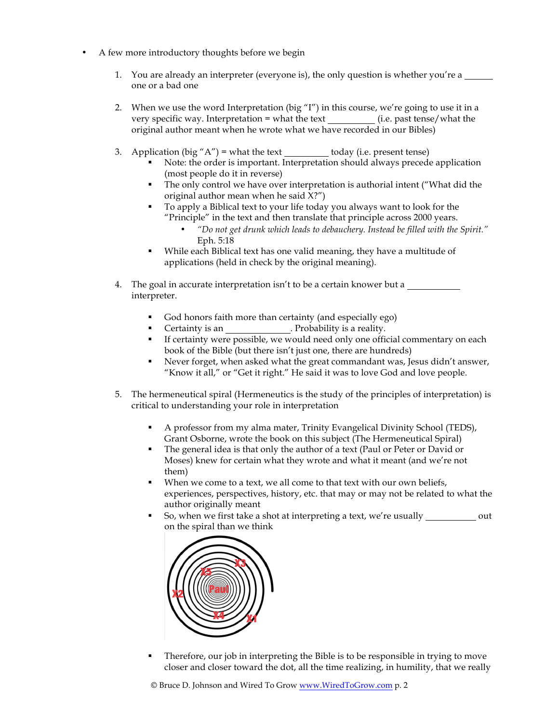- A few more introductory thoughts before we begin
	- 1. You are already an interpreter (everyone is), the only question is whether you're a one or a bad one
	- 2. When we use the word Interpretation (big "I") in this course, we're going to use it in a very specific way. Interpretation = what the text (i.e. past tense/what the original author meant when he wrote what we have recorded in our Bibles)
	- 3. Application (big " $A$ ") = what the text today (i.e. present tense)
		- Note: the order is important. Interpretation should always precede application (most people do it in reverse)
		- The only control we have over interpretation is authorial intent ("What did the original author mean when he said X?")
		- § To apply a Biblical text to your life today you always want to look for the "Principle" in the text and then translate that principle across 2000 years.
			- *"Do not get drunk which leads to debauchery. Instead be filled with the Spirit."* Eph. 5:18
		- While each Biblical text has one valid meaning, they have a multitude of applications (held in check by the original meaning).
	- 4. The goal in accurate interpretation isn't to be a certain knower but a interpreter.
		- § God honors faith more than certainty (and especially ego)
		- Certainty is an \_\_\_\_\_\_\_\_\_\_\_\_\_\_\_. Probability is a reality.
		- If certainty were possible, we would need only one official commentary on each book of the Bible (but there isn't just one, there are hundreds)
		- Never forget, when asked what the great commandant was, Jesus didn't answer, "Know it all," or "Get it right." He said it was to love God and love people.
	- 5. The hermeneutical spiral (Hermeneutics is the study of the principles of interpretation) is critical to understanding your role in interpretation
		- § A professor from my alma mater, Trinity Evangelical Divinity School (TEDS), Grant Osborne, wrote the book on this subject (The Hermeneutical Spiral)
		- The general idea is that only the author of a text (Paul or Peter or David or Moses) knew for certain what they wrote and what it meant (and we're not them)
		- When we come to a text, we all come to that text with our own beliefs, experiences, perspectives, history, etc. that may or may not be related to what the author originally meant
		- So, when we first take a shot at interpreting a text, we're usually \_\_\_\_\_\_\_\_\_\_\_ out on the spiral than we think



§ Therefore, our job in interpreting the Bible is to be responsible in trying to move closer and closer toward the dot, all the time realizing, in humility, that we really

© Bruce D. Johnson and Wired To Grow www.WiredToGrow.com p. 2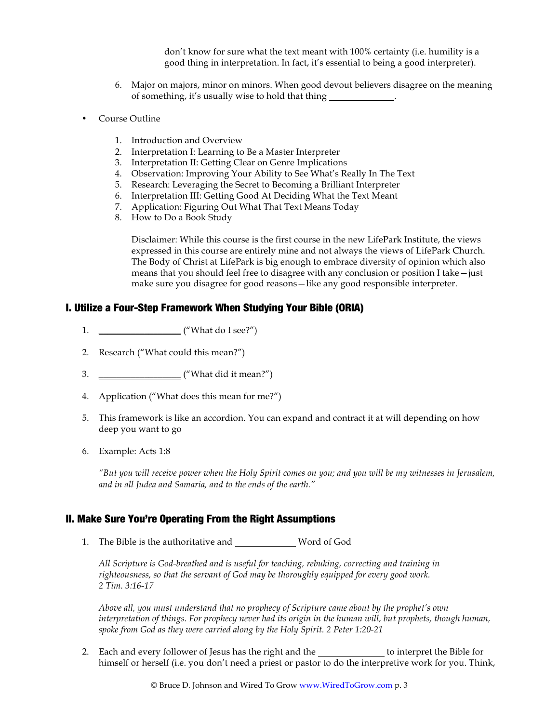don't know for sure what the text meant with 100% certainty (i.e. humility is a good thing in interpretation. In fact, it's essential to being a good interpreter).

- 6. Major on majors, minor on minors. When good devout believers disagree on the meaning of something, it's usually wise to hold that thing .
- Course Outline
	- 1. Introduction and Overview
	- 2. Interpretation I: Learning to Be a Master Interpreter
	- 3. Interpretation II: Getting Clear on Genre Implications
	- 4. Observation: Improving Your Ability to See What's Really In The Text
	- 5. Research: Leveraging the Secret to Becoming a Brilliant Interpreter
	- 6. Interpretation III: Getting Good At Deciding What the Text Meant
	- 7. Application: Figuring Out What That Text Means Today
	- 8. How to Do a Book Study

Disclaimer: While this course is the first course in the new LifePark Institute, the views expressed in this course are entirely mine and not always the views of LifePark Church. The Body of Christ at LifePark is big enough to embrace diversity of opinion which also means that you should feel free to disagree with any conclusion or position I take—just make sure you disagree for good reasons—like any good responsible interpreter.

### I. Utilize a Four-Step Framework When Studying Your Bible (ORIA)

- 1. \_\_\_\_\_\_\_\_\_\_\_\_\_\_\_\_\_\_ ("What do I see?")
- 2. Research ("What could this mean?")
- 3. \_\_\_\_\_\_\_\_\_\_\_\_\_\_\_\_\_\_ ("What did it mean?")
- 4. Application ("What does this mean for me?")
- 5. This framework is like an accordion. You can expand and contract it at will depending on how deep you want to go
- 6. Example: Acts 1:8

*"But you will receive power when the Holy Spirit comes on you; and you will be my witnesses in Jerusalem, and in all Judea and Samaria, and to the ends of the earth."*

#### II. Make Sure You're Operating From the Right Assumptions

1. The Bible is the authoritative and Word of God

*All Scripture is God-breathed and is useful for teaching, rebuking, correcting and training in righteousness, so that the servant of God may be thoroughly equipped for every good work. 2 Tim. 3:16-17*

*Above all, you must understand that no prophecy of Scripture came about by the prophet's own interpretation of things. For prophecy never had its origin in the human will, but prophets, though human, spoke from God as they were carried along by the Holy Spirit. 2 Peter 1:20-21*

2. Each and every follower of Jesus has the right and the to interpret the Bible for himself or herself (i.e. you don't need a priest or pastor to do the interpretive work for you. Think,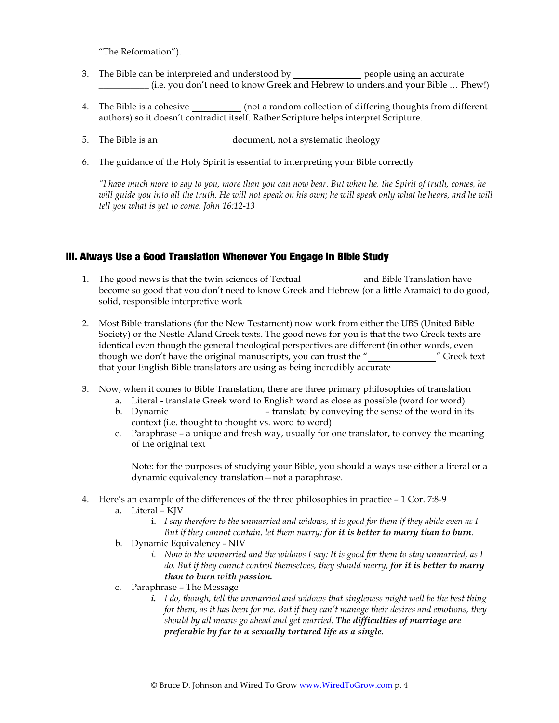"The Reformation").

- 3. The Bible can be interpreted and understood by people using an accurate \_\_\_\_\_\_\_\_\_\_\_ (i.e. you don't need to know Greek and Hebrew to understand your Bible … Phew!)
- 4. The Bible is a cohesive \_\_\_\_\_\_\_\_\_\_\_(not a random collection of differing thoughts from different authors) so it doesn't contradict itself. Rather Scripture helps interpret Scripture.
- 5. The Bible is an \_\_\_\_\_\_\_\_\_\_\_\_\_\_\_\_\_\_\_ document, not a systematic theology
- 6. The guidance of the Holy Spirit is essential to interpreting your Bible correctly

*"I have much more to say to you, more than you can now bear. But when he, the Spirit of truth, comes, he*  will guide you into all the truth. He will not speak on his own; he will speak only what he hears, and he will *tell you what is yet to come. John 16:12-13*

#### III. Always Use a Good Translation Whenever You Engage in Bible Study

- 1. The good news is that the twin sciences of Textual and Bible Translation have become so good that you don't need to know Greek and Hebrew (or a little Aramaic) to do good, solid, responsible interpretive work
- 2. Most Bible translations (for the New Testament) now work from either the UBS (United Bible Society) or the Nestle-Aland Greek texts. The good news for you is that the two Greek texts are identical even though the general theological perspectives are different (in other words, even though we don't have the original manuscripts, you can trust the " that your English Bible translators are using as being incredibly accurate
- 3. Now, when it comes to Bible Translation, there are three primary philosophies of translation
	- a. Literal translate Greek word to English word as close as possible (word for word)
	- b. Dynamic **b.** translate by conveying the sense of the word in its context (i.e. thought to thought vs. word to word)
	- c. Paraphrase a unique and fresh way, usually for one translator, to convey the meaning of the original text

Note: for the purposes of studying your Bible, you should always use either a literal or a dynamic equivalency translation—not a paraphrase.

- 4. Here's an example of the differences of the three philosophies in practice 1 Cor. 7:8-9
	- a. Literal KJV
		- i. *I say therefore to the unmarried and widows, it is good for them if they abide even as I. But if they cannot contain, let them marry: for it is better to marry than to burn*.
	- b. Dynamic Equivalency NIV
		- *i. Now to the unmarried and the widows I say: It is good for them to stay unmarried, as I do. But if they cannot control themselves, they should marry, for it is better to marry than to burn with passion.*
	- c. Paraphrase The Message
		- *i. I do, though, tell the unmarried and widows that singleness might well be the best thing for them, as it has been for me. But if they can't manage their desires and emotions, they should by all means go ahead and get married. The difficulties of marriage are preferable by far to a sexually tortured life as a single.*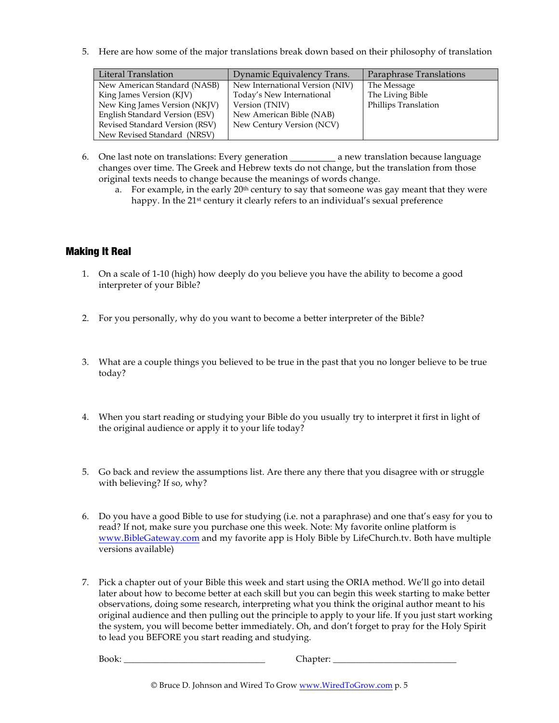5. Here are how some of the major translations break down based on their philosophy of translation

| Literal Translation            | Dynamic Equivalency Trans.      | Paraphrase Translations |
|--------------------------------|---------------------------------|-------------------------|
| New American Standard (NASB)   | New International Version (NIV) | The Message             |
| King James Version (KJV)       | Today's New International       | The Living Bible        |
| New King James Version (NKJV)  | Version (TNIV)                  | Phillips Translation    |
| English Standard Version (ESV) | New American Bible (NAB)        |                         |
| Revised Standard Version (RSV) | New Century Version (NCV)       |                         |
| New Revised Standard (NRSV)    |                                 |                         |

- 6. One last note on translations: Every generation a new translation because language changes over time. The Greek and Hebrew texts do not change, but the translation from those original texts needs to change because the meanings of words change.
	- a. For example, in the early  $20<sup>th</sup>$  century to say that someone was gay meant that they were happy. In the 21<sup>st</sup> century it clearly refers to an individual's sexual preference

# Making It Real

- 1. On a scale of 1-10 (high) how deeply do you believe you have the ability to become a good interpreter of your Bible?
- 2. For you personally, why do you want to become a better interpreter of the Bible?
- 3. What are a couple things you believed to be true in the past that you no longer believe to be true today?
- 4. When you start reading or studying your Bible do you usually try to interpret it first in light of the original audience or apply it to your life today?
- 5. Go back and review the assumptions list. Are there any there that you disagree with or struggle with believing? If so, why?
- 6. Do you have a good Bible to use for studying (i.e. not a paraphrase) and one that's easy for you to read? If not, make sure you purchase one this week. Note: My favorite online platform is www.BibleGateway.com and my favorite app is Holy Bible by LifeChurch.tv. Both have multiple versions available)
- 7. Pick a chapter out of your Bible this week and start using the ORIA method. We'll go into detail later about how to become better at each skill but you can begin this week starting to make better observations, doing some research, interpreting what you think the original author meant to his original audience and then pulling out the principle to apply to your life. If you just start working the system, you will become better immediately. Oh, and don't forget to pray for the Holy Spirit to lead you BEFORE you start reading and studying.

Book: \_\_\_\_\_\_\_\_\_\_\_\_\_\_\_\_\_\_\_\_\_\_\_\_\_\_\_\_\_\_\_ Chapter: \_\_\_\_\_\_\_\_\_\_\_\_\_\_\_\_\_\_\_\_\_\_\_\_\_\_\_